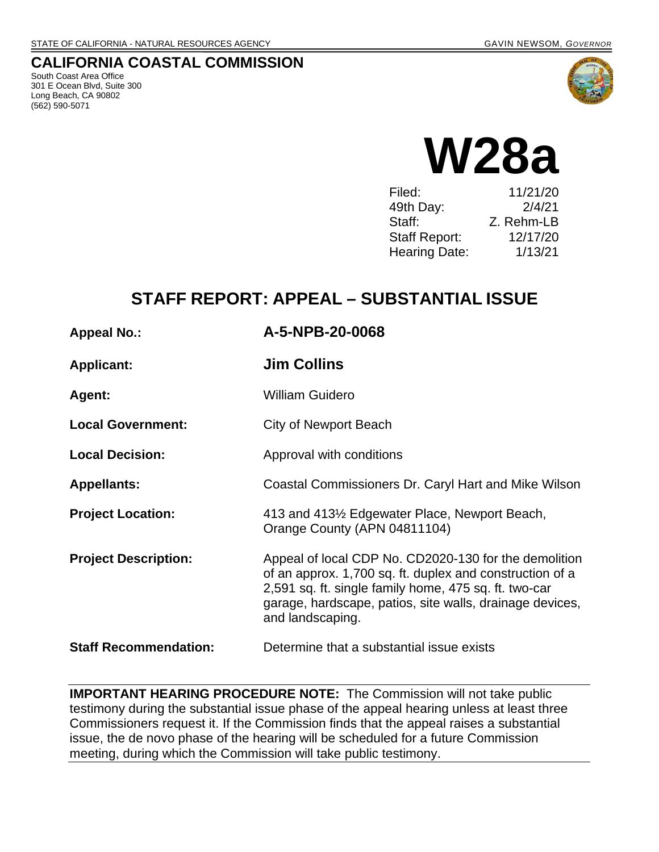### **CALIFORNIA COASTAL COMMISSION**

South Coast Area Office 301 E Ocean Blvd, Suite 300 Long Beach, CA 90802 (562) 590-5071





| Filed:               | 11/21/20   |
|----------------------|------------|
| 49th Day:            | 2/4/21     |
| Staff:               | Z. Rehm-LB |
| <b>Staff Report:</b> | 12/17/20   |
| <b>Hearing Date:</b> | 1/13/21    |
|                      |            |

# **STAFF REPORT: APPEAL – SUBSTANTIAL ISSUE**

| <b>Appeal No.:</b>           | A-5-NPB-20-0068                                                                                                                                                                                                                                            |  |
|------------------------------|------------------------------------------------------------------------------------------------------------------------------------------------------------------------------------------------------------------------------------------------------------|--|
| <b>Applicant:</b>            | <b>Jim Collins</b>                                                                                                                                                                                                                                         |  |
| Agent:                       | <b>William Guidero</b>                                                                                                                                                                                                                                     |  |
| <b>Local Government:</b>     | City of Newport Beach                                                                                                                                                                                                                                      |  |
| <b>Local Decision:</b>       | Approval with conditions                                                                                                                                                                                                                                   |  |
| <b>Appellants:</b>           | Coastal Commissioners Dr. Caryl Hart and Mike Wilson                                                                                                                                                                                                       |  |
| <b>Project Location:</b>     | 413 and 413½ Edgewater Place, Newport Beach,<br>Orange County (APN 04811104)                                                                                                                                                                               |  |
| <b>Project Description:</b>  | Appeal of local CDP No. CD2020-130 for the demolition<br>of an approx. 1,700 sq. ft. duplex and construction of a<br>2,591 sq. ft. single family home, 475 sq. ft. two-car<br>garage, hardscape, patios, site walls, drainage devices,<br>and landscaping. |  |
| <b>Staff Recommendation:</b> | Determine that a substantial issue exists                                                                                                                                                                                                                  |  |

**IMPORTANT HEARING PROCEDURE NOTE:** The Commission will not take public testimony during the substantial issue phase of the appeal hearing unless at least three Commissioners request it. If the Commission finds that the appeal raises a substantial issue, the de novo phase of the hearing will be scheduled for a future Commission meeting, during which the Commission will take public testimony.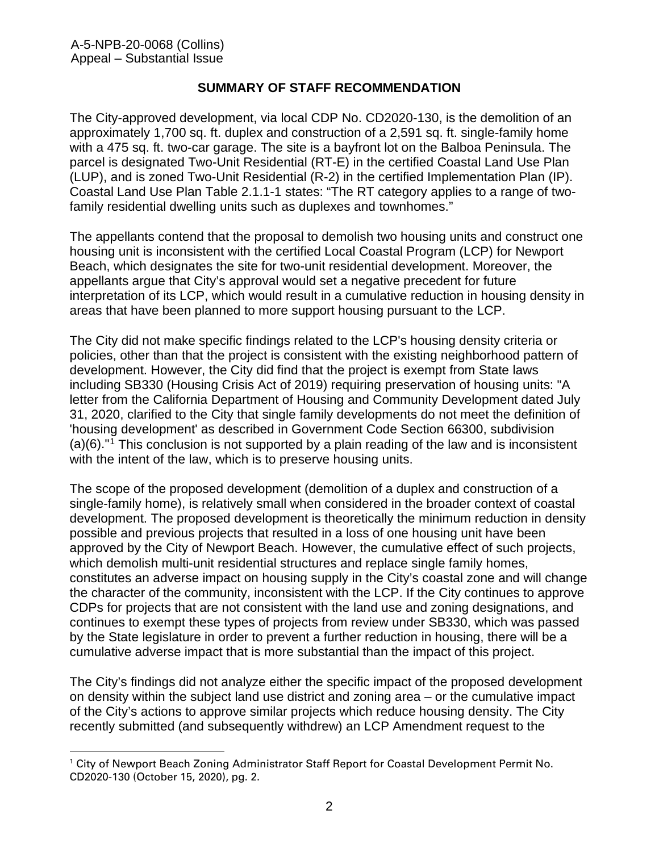### **SUMMARY OF STAFF RECOMMENDATION**

The City-approved development, via local CDP No. CD2020-130, is the demolition of an approximately 1,700 sq. ft. duplex and construction of a 2,591 sq. ft. single-family home with a 475 sq. ft. two-car garage. The site is a bayfront lot on the Balboa Peninsula. The parcel is designated Two-Unit Residential (RT-E) in the certified Coastal Land Use Plan (LUP), and is zoned Two-Unit Residential (R-2) in the certified Implementation Plan (IP). Coastal Land Use Plan Table 2.1.1-1 states: "The RT category applies to a range of twofamily residential dwelling units such as duplexes and townhomes."

The appellants contend that the proposal to demolish two housing units and construct one housing unit is inconsistent with the certified Local Coastal Program (LCP) for Newport Beach, which designates the site for two-unit residential development. Moreover, the appellants argue that City's approval would set a negative precedent for future interpretation of its LCP, which would result in a cumulative reduction in housing density in areas that have been planned to more support housing pursuant to the LCP.

The City did not make specific findings related to the LCP's housing density criteria or policies, other than that the project is consistent with the existing neighborhood pattern of development. However, the City did find that the project is exempt from State laws including SB330 (Housing Crisis Act of 2019) requiring preservation of housing units: "A letter from the California Department of Housing and Community Development dated July 31, 2020, clarified to the City that single family developments do not meet the definition of 'housing development' as described in Government Code Section 66300, subdivision  $(a)(6)$ ."<sup>[1](#page-1-0)</sup> This conclusion is not supported by a plain reading of the law and is inconsistent with the intent of the law, which is to preserve housing units.

The scope of the proposed development (demolition of a duplex and construction of a single-family home), is relatively small when considered in the broader context of coastal development. The proposed development is theoretically the minimum reduction in density possible and previous projects that resulted in a loss of one housing unit have been approved by the City of Newport Beach. However, the cumulative effect of such projects, which demolish multi-unit residential structures and replace single family homes, constitutes an adverse impact on housing supply in the City's coastal zone and will change the character of the community, inconsistent with the LCP. If the City continues to approve CDPs for projects that are not consistent with the land use and zoning designations, and continues to exempt these types of projects from review under SB330, which was passed by the State legislature in order to prevent a further reduction in housing, there will be a cumulative adverse impact that is more substantial than the impact of this project.

The City's findings did not analyze either the specific impact of the proposed development on density within the subject land use district and zoning area – or the cumulative impact of the City's actions to approve similar projects which reduce housing density. The City recently submitted (and subsequently withdrew) an LCP Amendment request to the

<span id="page-1-0"></span><sup>&</sup>lt;sup>1</sup> City of Newport Beach Zoning Administrator Staff Report for Coastal Development Permit No. CD2020-130 (October 15, 2020), pg. 2.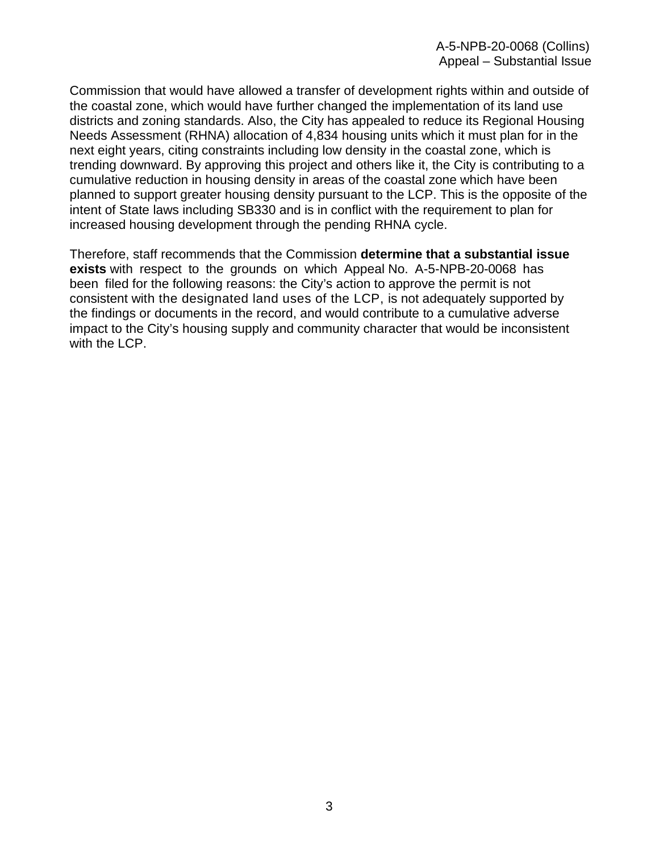Commission that would have allowed a transfer of development rights within and outside of the coastal zone, which would have further changed the implementation of its land use districts and zoning standards. Also, the City has appealed to reduce its Regional Housing Needs Assessment (RHNA) allocation of 4,834 housing units which it must plan for in the next eight years, citing constraints including low density in the coastal zone, which is trending downward. By approving this project and others like it, the City is contributing to a cumulative reduction in housing density in areas of the coastal zone which have been planned to support greater housing density pursuant to the LCP. This is the opposite of the intent of State laws including SB330 and is in conflict with the requirement to plan for increased housing development through the pending RHNA cycle.

Therefore, staff recommends that the Commission **determine that a substantial issue exists** with respect to the grounds on which Appeal No. A-5-NPB-20-0068 has been filed for the following reasons: the City's action to approve the permit is not consistent with the designated land uses of the LCP, is not adequately supported by the findings or documents in the record, and would contribute to a cumulative adverse impact to the City's housing supply and community character that would be inconsistent with the LCP.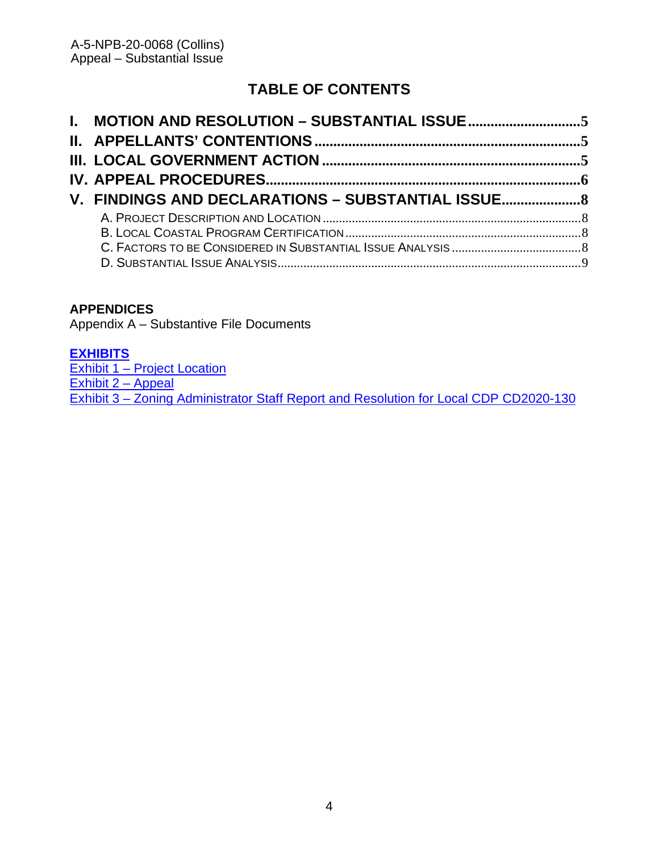# **TABLE OF CONTENTS**

| V. FINDINGS AND DECLARATIONS - SUBSTANTIAL ISSUE |  |
|--------------------------------------------------|--|
|                                                  |  |
|                                                  |  |
|                                                  |  |
|                                                  |  |

### **APPENDICES**

Appendix A – Substantive File Documents

### **[EXHIBITS](https://documents.coastal.ca.gov/reports/2021/1/w28a/w28a-1-2021-exhibits.pdf)**

[Exhibit 1 – Project Location](https://documents.coastal.ca.gov/reports/2021/1/w28a/w28a-1-2021-exhibits.pdf) [Exhibit 2 – Appeal](https://documents.coastal.ca.gov/reports/2021/1/w28a/w28a-1-2021-exhibits.pdf)  [Exhibit 3 – Zoning Administrator Staff Report and Resolution for Local](https://documents.coastal.ca.gov/reports/2021/1/w28a/w28a-1-2021-exhibits.pdf) CDP CD2020-130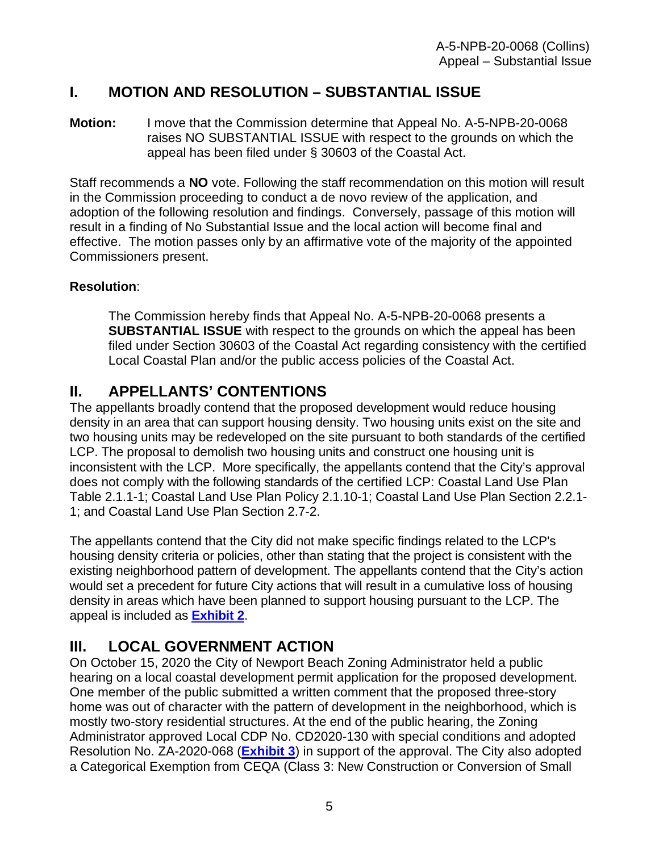## <span id="page-4-0"></span>**I. MOTION AND RESOLUTION – SUBSTANTIAL ISSUE**

**Motion:** I move that the Commission determine that Appeal No. A-5-NPB-20-0068 raises NO SUBSTANTIAL ISSUE with respect to the grounds on which the appeal has been filed under § 30603 of the Coastal Act.

Staff recommends a **NO** vote. Following the staff recommendation on this motion will result in the Commission proceeding to conduct a de novo review of the application, and adoption of the following resolution and findings. Conversely, passage of this motion will result in a finding of No Substantial Issue and the local action will become final and effective. The motion passes only by an affirmative vote of the majority of the appointed Commissioners present.

### **Resolution**:

The Commission hereby finds that Appeal No. A-5-NPB-20-0068 presents a **SUBSTANTIAL ISSUE** with respect to the grounds on which the appeal has been filed under Section 30603 of the Coastal Act regarding consistency with the certified Local Coastal Plan and/or the public access policies of the Coastal Act.

## <span id="page-4-1"></span>**II. APPELLANTS' CONTENTIONS**

The appellants broadly contend that the proposed development would reduce housing density in an area that can support housing density. Two housing units exist on the site and two housing units may be redeveloped on the site pursuant to both standards of the certified LCP. The proposal to demolish two housing units and construct one housing unit is inconsistent with the LCP. More specifically, the appellants contend that the City's approval does not comply with the following standards of the certified LCP: Coastal Land Use Plan Table 2.1.1-1; Coastal Land Use Plan Policy 2.1.10-1; Coastal Land Use Plan Section 2.2.1- 1; and Coastal Land Use Plan Section 2.7-2.

The appellants contend that the City did not make specific findings related to the LCP's housing density criteria or policies, other than stating that the project is consistent with the existing neighborhood pattern of development. The appellants contend that the City's action would set a precedent for future City actions that will result in a cumulative loss of housing density in areas which have been planned to support housing pursuant to the LCP. The appeal is included as **[Exhibit 2](https://documents.coastal.ca.gov/reports/2021/1/w28a/w28a-1-2021-exhibits.pdf)**.

# <span id="page-4-2"></span>**III. LOCAL GOVERNMENT ACTION**

On October 15, 2020 the City of Newport Beach Zoning Administrator held a public hearing on a local coastal development permit application for the proposed development. One member of the public submitted a written comment that the proposed three-story home was out of character with the pattern of development in the neighborhood, which is mostly two-story residential structures. At the end of the public hearing, the Zoning Administrator approved Local CDP No. CD2020-130 with special conditions and adopted Resolution No. ZA-2020-068 (**[Exhibit 3](https://documents.coastal.ca.gov/reports/2021/1/w28a/w28a-1-2021-exhibits.pdf)**) in support of the approval. The City also adopted a Categorical Exemption from CEQA (Class 3: New Construction or Conversion of Small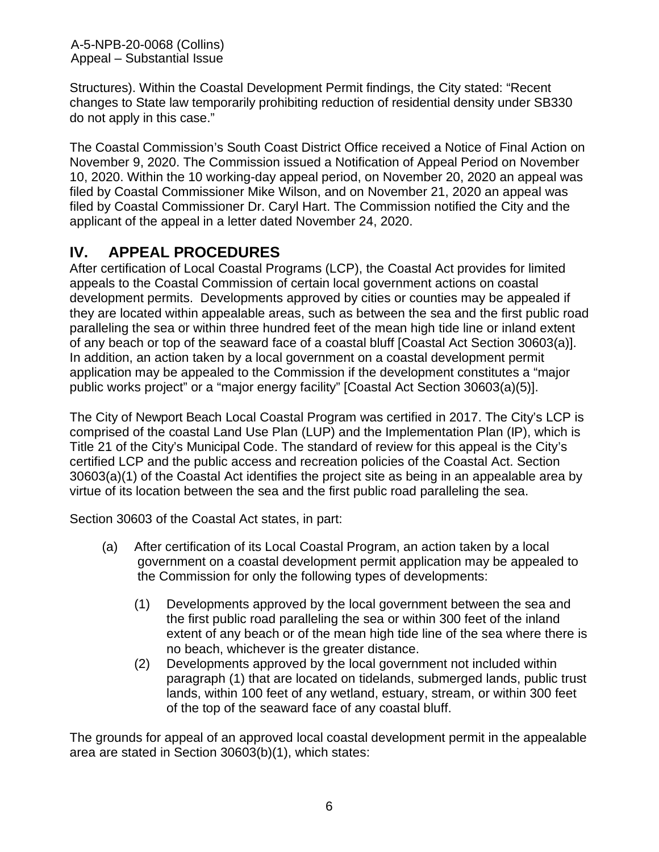A-5-NPB-20-0068 (Collins) Appeal – Substantial Issue

Structures). Within the Coastal Development Permit findings, the City stated: "Recent changes to State law temporarily prohibiting reduction of residential density under SB330 do not apply in this case."

The Coastal Commission's South Coast District Office received a Notice of Final Action on November 9, 2020. The Commission issued a Notification of Appeal Period on November 10, 2020. Within the 10 working-day appeal period, on November 20, 2020 an appeal was filed by Coastal Commissioner Mike Wilson, and on November 21, 2020 an appeal was filed by Coastal Commissioner Dr. Caryl Hart. The Commission notified the City and the applicant of the appeal in a letter dated November 24, 2020.

## <span id="page-5-0"></span>**IV. APPEAL PROCEDURES**

After certification of Local Coastal Programs (LCP), the Coastal Act provides for limited appeals to the Coastal Commission of certain local government actions on coastal development permits. Developments approved by cities or counties may be appealed if they are located within appealable areas, such as between the sea and the first public road paralleling the sea or within three hundred feet of the mean high tide line or inland extent of any beach or top of the seaward face of a coastal bluff [Coastal Act Section 30603(a)]. In addition, an action taken by a local government on a coastal development permit application may be appealed to the Commission if the development constitutes a "major public works project" or a "major energy facility" [Coastal Act Section 30603(a)(5)].

The City of Newport Beach Local Coastal Program was certified in 2017. The City's LCP is comprised of the coastal Land Use Plan (LUP) and the Implementation Plan (IP), which is Title 21 of the City's Municipal Code. The standard of review for this appeal is the City's certified LCP and the public access and recreation policies of the Coastal Act. Section 30603(a)(1) of the Coastal Act identifies the project site as being in an appealable area by virtue of its location between the sea and the first public road paralleling the sea.

Section 30603 of the Coastal Act states, in part:

- (a) After certification of its Local Coastal Program, an action taken by a local government on a coastal development permit application may be appealed to the Commission for only the following types of developments:
	- (1) Developments approved by the local government between the sea and the first public road paralleling the sea or within 300 feet of the inland extent of any beach or of the mean high tide line of the sea where there is no beach, whichever is the greater distance.
	- (2) Developments approved by the local government not included within paragraph (1) that are located on tidelands, submerged lands, public trust lands, within 100 feet of any wetland, estuary, stream, or within 300 feet of the top of the seaward face of any coastal bluff.

The grounds for appeal of an approved local coastal development permit in the appealable area are stated in Section 30603(b)(1), which states: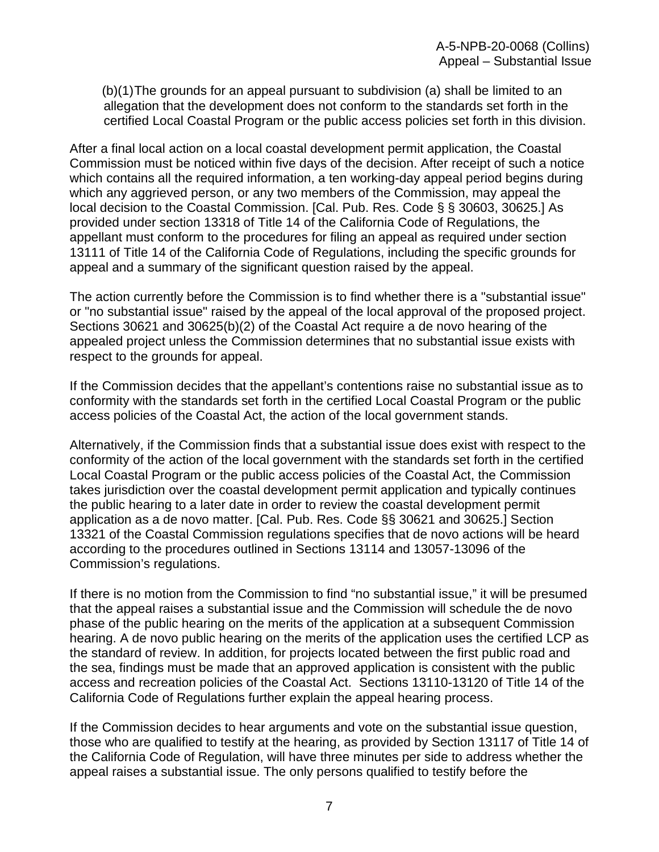(b)(1)The grounds for an appeal pursuant to subdivision (a) shall be limited to an allegation that the development does not conform to the standards set forth in the certified Local Coastal Program or the public access policies set forth in this division.

After a final local action on a local coastal development permit application, the Coastal Commission must be noticed within five days of the decision. After receipt of such a notice which contains all the required information, a ten working-day appeal period begins during which any aggrieved person, or any two members of the Commission, may appeal the local decision to the Coastal Commission. [Cal. Pub. Res. Code § § 30603, 30625.] As provided under section 13318 of Title 14 of the California Code of Regulations, the appellant must conform to the procedures for filing an appeal as required under section 13111 of Title 14 of the California Code of Regulations, including the specific grounds for appeal and a summary of the significant question raised by the appeal.

The action currently before the Commission is to find whether there is a "substantial issue" or "no substantial issue" raised by the appeal of the local approval of the proposed project. Sections 30621 and 30625(b)(2) of the Coastal Act require a de novo hearing of the appealed project unless the Commission determines that no substantial issue exists with respect to the grounds for appeal.

If the Commission decides that the appellant's contentions raise no substantial issue as to conformity with the standards set forth in the certified Local Coastal Program or the public access policies of the Coastal Act, the action of the local government stands.

Alternatively, if the Commission finds that a substantial issue does exist with respect to the conformity of the action of the local government with the standards set forth in the certified Local Coastal Program or the public access policies of the Coastal Act, the Commission takes jurisdiction over the coastal development permit application and typically continues the public hearing to a later date in order to review the coastal development permit application as a de novo matter. [Cal. Pub. Res. Code §§ 30621 and 30625.] Section 13321 of the Coastal Commission regulations specifies that de novo actions will be heard according to the procedures outlined in Sections 13114 and 13057-13096 of the Commission's regulations.

If there is no motion from the Commission to find "no substantial issue," it will be presumed that the appeal raises a substantial issue and the Commission will schedule the de novo phase of the public hearing on the merits of the application at a subsequent Commission hearing. A de novo public hearing on the merits of the application uses the certified LCP as the standard of review. In addition, for projects located between the first public road and the sea, findings must be made that an approved application is consistent with the public access and recreation policies of the Coastal Act. Sections 13110-13120 of Title 14 of the California Code of Regulations further explain the appeal hearing process.

If the Commission decides to hear arguments and vote on the substantial issue question, those who are qualified to testify at the hearing, as provided by Section 13117 of Title 14 of the California Code of Regulation, will have three minutes per side to address whether the appeal raises a substantial issue. The only persons qualified to testify before the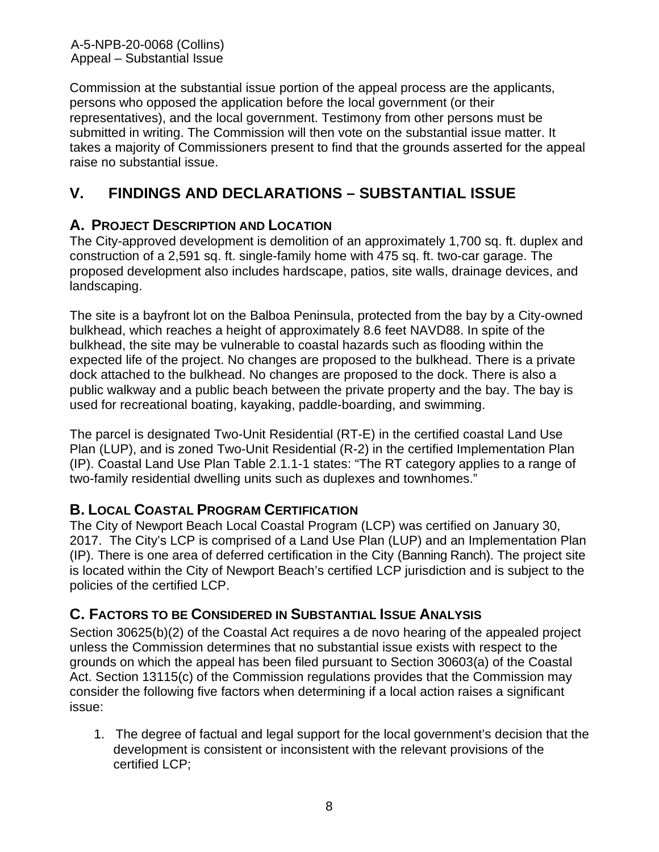Commission at the substantial issue portion of the appeal process are the applicants, persons who opposed the application before the local government (or their representatives), and the local government. Testimony from other persons must be submitted in writing. The Commission will then vote on the substantial issue matter. It takes a majority of Commissioners present to find that the grounds asserted for the appeal raise no substantial issue.

# <span id="page-7-0"></span>**V. FINDINGS AND DECLARATIONS – SUBSTANTIAL ISSUE**

## <span id="page-7-1"></span>**A. PROJECT DESCRIPTION AND LOCATION**

The City-approved development is demolition of an approximately 1,700 sq. ft. duplex and construction of a 2,591 sq. ft. single-family home with 475 sq. ft. two-car garage. The proposed development also includes hardscape, patios, site walls, drainage devices, and landscaping.

The site is a bayfront lot on the Balboa Peninsula, protected from the bay by a City-owned bulkhead, which reaches a height of approximately 8.6 feet NAVD88. In spite of the bulkhead, the site may be vulnerable to coastal hazards such as flooding within the expected life of the project. No changes are proposed to the bulkhead. There is a private dock attached to the bulkhead. No changes are proposed to the dock. There is also a public walkway and a public beach between the private property and the bay. The bay is used for recreational boating, kayaking, paddle-boarding, and swimming.

The parcel is designated Two-Unit Residential (RT-E) in the certified coastal Land Use Plan (LUP), and is zoned Two-Unit Residential (R-2) in the certified Implementation Plan (IP). Coastal Land Use Plan Table 2.1.1-1 states: "The RT category applies to a range of two-family residential dwelling units such as duplexes and townhomes."

## <span id="page-7-2"></span>**B. LOCAL COASTAL PROGRAM CERTIFICATION**

The City of Newport Beach Local Coastal Program (LCP) was certified on January 30, 2017. The City's LCP is comprised of a Land Use Plan (LUP) and an Implementation Plan (IP). There is one area of deferred certification in the City (Banning Ranch). The project site is located within the City of Newport Beach's certified LCP jurisdiction and is subject to the policies of the certified LCP.

## <span id="page-7-3"></span>**C. FACTORS TO BE CONSIDERED IN SUBSTANTIAL ISSUE ANALYSIS**

Section 30625(b)(2) of the Coastal Act requires a de novo hearing of the appealed project unless the Commission determines that no substantial issue exists with respect to the grounds on which the appeal has been filed pursuant to Section 30603(a) of the Coastal Act. Section 13115(c) of the Commission regulations provides that the Commission may consider the following five factors when determining if a local action raises a significant issue:

1. The degree of factual and legal support for the local government's decision that the development is consistent or inconsistent with the relevant provisions of the certified LCP;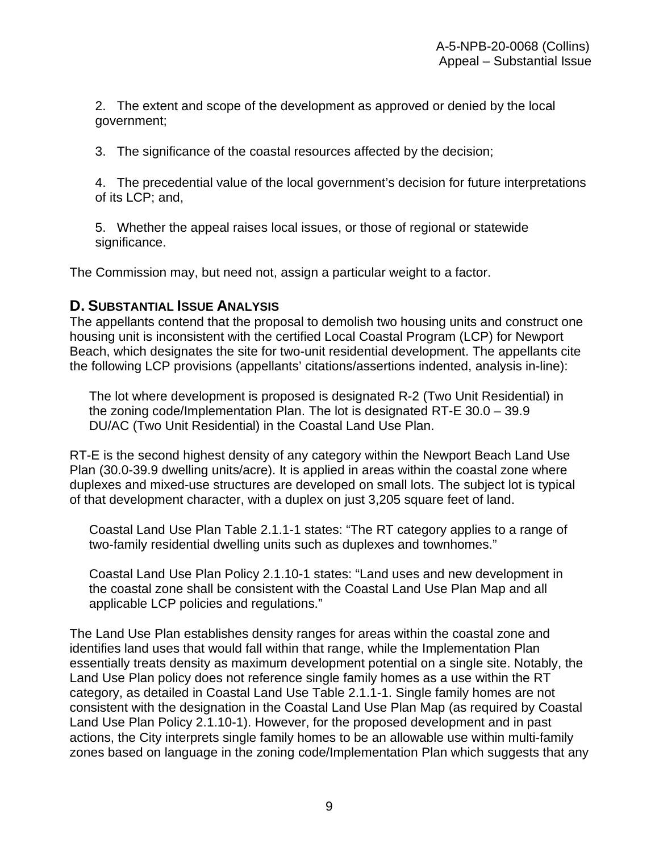2. The extent and scope of the development as approved or denied by the local government;

3. The significance of the coastal resources affected by the decision;

4. The precedential value of the local government's decision for future interpretations of its LCP; and,

5. Whether the appeal raises local issues, or those of regional or statewide significance.

The Commission may, but need not, assign a particular weight to a factor.

### <span id="page-8-0"></span>**D. SUBSTANTIAL ISSUE ANALYSIS**

The appellants contend that the proposal to demolish two housing units and construct one housing unit is inconsistent with the certified Local Coastal Program (LCP) for Newport Beach, which designates the site for two-unit residential development. The appellants cite the following LCP provisions (appellants' citations/assertions indented, analysis in-line):

The lot where development is proposed is designated R-2 (Two Unit Residential) in the zoning code/Implementation Plan. The lot is designated RT-E 30.0 – 39.9 DU/AC (Two Unit Residential) in the Coastal Land Use Plan.

RT-E is the second highest density of any category within the Newport Beach Land Use Plan (30.0-39.9 dwelling units/acre). It is applied in areas within the coastal zone where duplexes and mixed-use structures are developed on small lots. The subject lot is typical of that development character, with a duplex on just 3,205 square feet of land.

Coastal Land Use Plan Table 2.1.1-1 states: "The RT category applies to a range of two-family residential dwelling units such as duplexes and townhomes."

Coastal Land Use Plan Policy 2.1.10-1 states: "Land uses and new development in the coastal zone shall be consistent with the Coastal Land Use Plan Map and all applicable LCP policies and regulations."

The Land Use Plan establishes density ranges for areas within the coastal zone and identifies land uses that would fall within that range, while the Implementation Plan essentially treats density as maximum development potential on a single site. Notably, the Land Use Plan policy does not reference single family homes as a use within the RT category, as detailed in Coastal Land Use Table 2.1.1-1. Single family homes are not consistent with the designation in the Coastal Land Use Plan Map (as required by Coastal Land Use Plan Policy 2.1.10-1). However, for the proposed development and in past actions, the City interprets single family homes to be an allowable use within multi-family zones based on language in the zoning code/Implementation Plan which suggests that any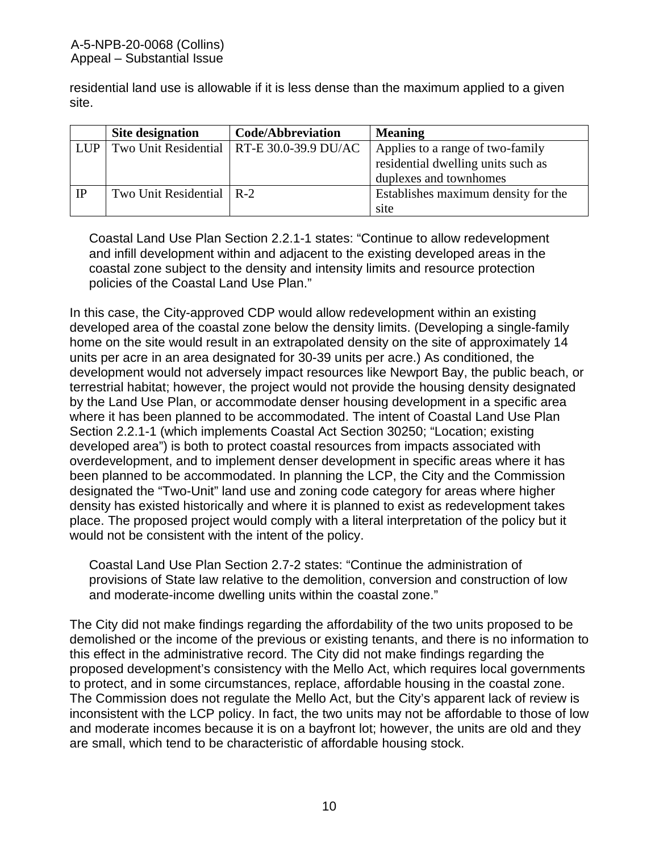residential land use is allowable if it is less dense than the maximum applied to a given site.

|            | Site designation           | Code/Abbreviation                           | <b>Meaning</b>                      |
|------------|----------------------------|---------------------------------------------|-------------------------------------|
| <b>LUP</b> |                            | Two Unit Residential   RT-E 30.0-39.9 DU/AC | Applies to a range of two-family    |
|            |                            |                                             | residential dwelling units such as  |
|            |                            |                                             | duplexes and townhomes              |
| IP         | Two Unit Residential   R-2 |                                             | Establishes maximum density for the |
|            |                            |                                             | site                                |

Coastal Land Use Plan Section 2.2.1-1 states: "Continue to allow redevelopment and infill development within and adjacent to the existing developed areas in the coastal zone subject to the density and intensity limits and resource protection policies of the Coastal Land Use Plan."

In this case, the City-approved CDP would allow redevelopment within an existing developed area of the coastal zone below the density limits. (Developing a single-family home on the site would result in an extrapolated density on the site of approximately 14 units per acre in an area designated for 30-39 units per acre.) As conditioned, the development would not adversely impact resources like Newport Bay, the public beach, or terrestrial habitat; however, the project would not provide the housing density designated by the Land Use Plan, or accommodate denser housing development in a specific area where it has been planned to be accommodated. The intent of Coastal Land Use Plan Section 2.2.1-1 (which implements Coastal Act Section 30250; "Location; existing developed area") is both to protect coastal resources from impacts associated with overdevelopment, and to implement denser development in specific areas where it has been planned to be accommodated. In planning the LCP, the City and the Commission designated the "Two-Unit" land use and zoning code category for areas where higher density has existed historically and where it is planned to exist as redevelopment takes place. The proposed project would comply with a literal interpretation of the policy but it would not be consistent with the intent of the policy.

Coastal Land Use Plan Section 2.7-2 states: "Continue the administration of provisions of State law relative to the demolition, conversion and construction of low and moderate-income dwelling units within the coastal zone."

The City did not make findings regarding the affordability of the two units proposed to be demolished or the income of the previous or existing tenants, and there is no information to this effect in the administrative record. The City did not make findings regarding the proposed development's consistency with the Mello Act, which requires local governments to protect, and in some circumstances, replace, affordable housing in the coastal zone. The Commission does not regulate the Mello Act, but the City's apparent lack of review is inconsistent with the LCP policy. In fact, the two units may not be affordable to those of low and moderate incomes because it is on a bayfront lot; however, the units are old and they are small, which tend to be characteristic of affordable housing stock.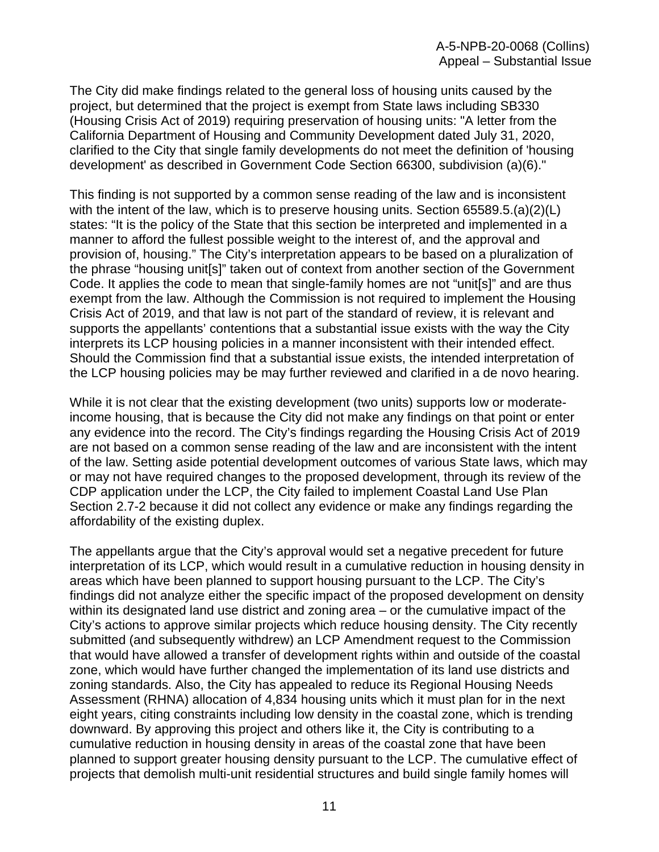The City did make findings related to the general loss of housing units caused by the project, but determined that the project is exempt from State laws including SB330 (Housing Crisis Act of 2019) requiring preservation of housing units: "A letter from the California Department of Housing and Community Development dated July 31, 2020, clarified to the City that single family developments do not meet the definition of 'housing development' as described in Government Code Section 66300, subdivision (a)(6)."

This finding is not supported by a common sense reading of the law and is inconsistent with the intent of the law, which is to preserve housing units. Section 65589.5.(a)(2)(L) states: "It is the policy of the State that this section be interpreted and implemented in a manner to afford the fullest possible weight to the interest of, and the approval and provision of, housing." The City's interpretation appears to be based on a pluralization of the phrase "housing unit[s]" taken out of context from another section of the Government Code. It applies the code to mean that single-family homes are not "unit[s]" and are thus exempt from the law. Although the Commission is not required to implement the Housing Crisis Act of 2019, and that law is not part of the standard of review, it is relevant and supports the appellants' contentions that a substantial issue exists with the way the City interprets its LCP housing policies in a manner inconsistent with their intended effect. Should the Commission find that a substantial issue exists, the intended interpretation of the LCP housing policies may be may further reviewed and clarified in a de novo hearing.

While it is not clear that the existing development (two units) supports low or moderateincome housing, that is because the City did not make any findings on that point or enter any evidence into the record. The City's findings regarding the Housing Crisis Act of 2019 are not based on a common sense reading of the law and are inconsistent with the intent of the law. Setting aside potential development outcomes of various State laws, which may or may not have required changes to the proposed development, through its review of the CDP application under the LCP, the City failed to implement Coastal Land Use Plan Section 2.7-2 because it did not collect any evidence or make any findings regarding the affordability of the existing duplex.

The appellants argue that the City's approval would set a negative precedent for future interpretation of its LCP, which would result in a cumulative reduction in housing density in areas which have been planned to support housing pursuant to the LCP. The City's findings did not analyze either the specific impact of the proposed development on density within its designated land use district and zoning area – or the cumulative impact of the City's actions to approve similar projects which reduce housing density. The City recently submitted (and subsequently withdrew) an LCP Amendment request to the Commission that would have allowed a transfer of development rights within and outside of the coastal zone, which would have further changed the implementation of its land use districts and zoning standards. Also, the City has appealed to reduce its Regional Housing Needs Assessment (RHNA) allocation of 4,834 housing units which it must plan for in the next eight years, citing constraints including low density in the coastal zone, which is trending downward. By approving this project and others like it, the City is contributing to a cumulative reduction in housing density in areas of the coastal zone that have been planned to support greater housing density pursuant to the LCP. The cumulative effect of projects that demolish multi-unit residential structures and build single family homes will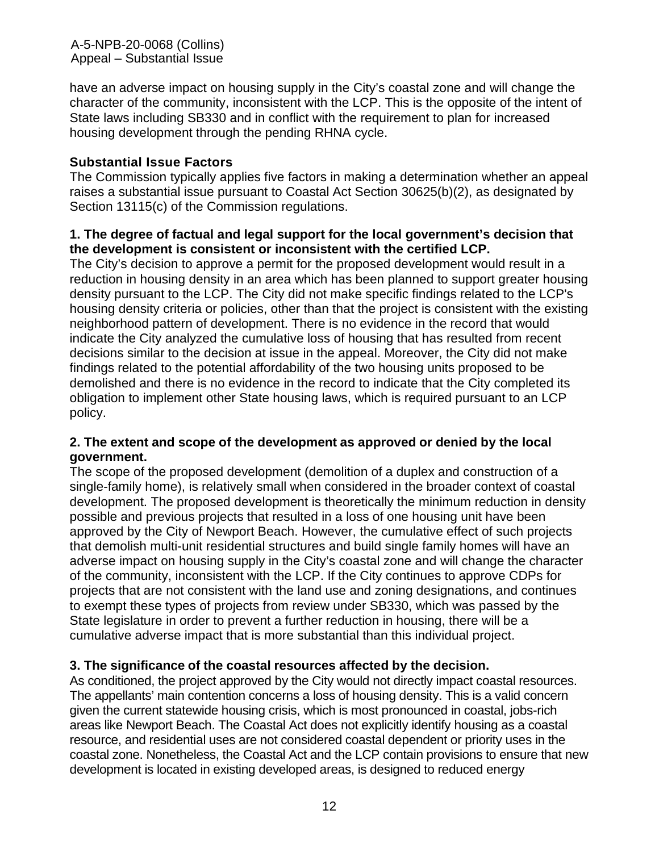A-5-NPB-20-0068 (Collins) Appeal – Substantial Issue

have an adverse impact on housing supply in the City's coastal zone and will change the character of the community, inconsistent with the LCP. This is the opposite of the intent of State laws including SB330 and in conflict with the requirement to plan for increased housing development through the pending RHNA cycle.

#### **Substantial Issue Factors**

The Commission typically applies five factors in making a determination whether an appeal raises a substantial issue pursuant to Coastal Act Section 30625(b)(2), as designated by Section 13115(c) of the Commission regulations.

### **1. The degree of factual and legal support for the local government's decision that the development is consistent or inconsistent with the certified LCP.**

The City's decision to approve a permit for the proposed development would result in a reduction in housing density in an area which has been planned to support greater housing density pursuant to the LCP. The City did not make specific findings related to the LCP's housing density criteria or policies, other than that the project is consistent with the existing neighborhood pattern of development. There is no evidence in the record that would indicate the City analyzed the cumulative loss of housing that has resulted from recent decisions similar to the decision at issue in the appeal. Moreover, the City did not make findings related to the potential affordability of the two housing units proposed to be demolished and there is no evidence in the record to indicate that the City completed its obligation to implement other State housing laws, which is required pursuant to an LCP policy.

#### **2. The extent and scope of the development as approved or denied by the local government.**

The scope of the proposed development (demolition of a duplex and construction of a single-family home), is relatively small when considered in the broader context of coastal development. The proposed development is theoretically the minimum reduction in density possible and previous projects that resulted in a loss of one housing unit have been approved by the City of Newport Beach. However, the cumulative effect of such projects that demolish multi-unit residential structures and build single family homes will have an adverse impact on housing supply in the City's coastal zone and will change the character of the community, inconsistent with the LCP. If the City continues to approve CDPs for projects that are not consistent with the land use and zoning designations, and continues to exempt these types of projects from review under SB330, which was passed by the State legislature in order to prevent a further reduction in housing, there will be a cumulative adverse impact that is more substantial than this individual project.

#### **3. The significance of the coastal resources affected by the decision.**

As conditioned, the project approved by the City would not directly impact coastal resources. The appellants' main contention concerns a loss of housing density. This is a valid concern given the current statewide housing crisis, which is most pronounced in coastal, jobs-rich areas like Newport Beach. The Coastal Act does not explicitly identify housing as a coastal resource, and residential uses are not considered coastal dependent or priority uses in the coastal zone. Nonetheless, the Coastal Act and the LCP contain provisions to ensure that new development is located in existing developed areas, is designed to reduced energy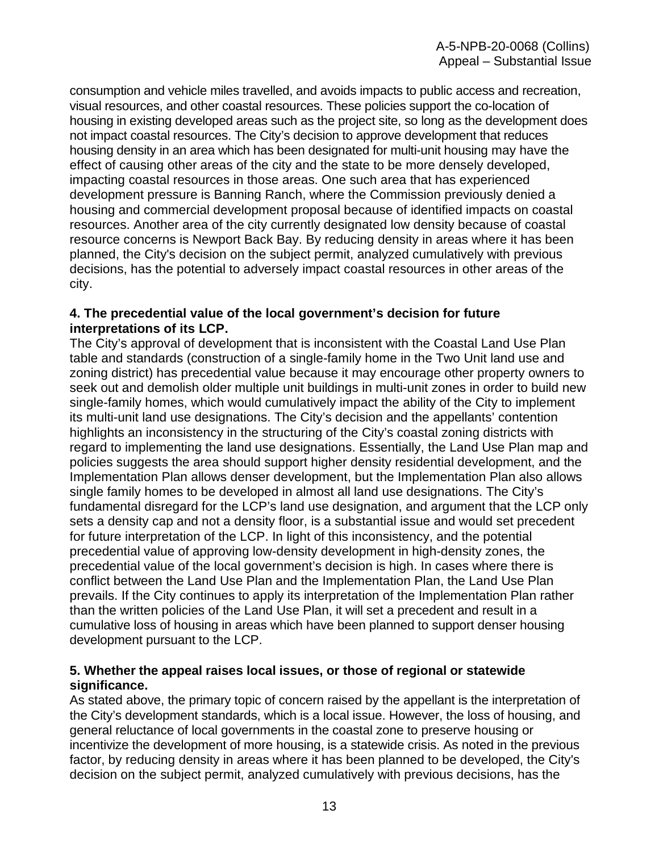consumption and vehicle miles travelled, and avoids impacts to public access and recreation, visual resources, and other coastal resources. These policies support the co-location of housing in existing developed areas such as the project site, so long as the development does not impact coastal resources. The City's decision to approve development that reduces housing density in an area which has been designated for multi-unit housing may have the effect of causing other areas of the city and the state to be more densely developed, impacting coastal resources in those areas. One such area that has experienced development pressure is Banning Ranch, where the Commission previously denied a housing and commercial development proposal because of identified impacts on coastal resources. Another area of the city currently designated low density because of coastal resource concerns is Newport Back Bay. By reducing density in areas where it has been planned, the City's decision on the subject permit, analyzed cumulatively with previous decisions, has the potential to adversely impact coastal resources in other areas of the city.

#### **4. The precedential value of the local government's decision for future interpretations of its LCP.**

The City's approval of development that is inconsistent with the Coastal Land Use Plan table and standards (construction of a single-family home in the Two Unit land use and zoning district) has precedential value because it may encourage other property owners to seek out and demolish older multiple unit buildings in multi-unit zones in order to build new single-family homes, which would cumulatively impact the ability of the City to implement its multi-unit land use designations. The City's decision and the appellants' contention highlights an inconsistency in the structuring of the City's coastal zoning districts with regard to implementing the land use designations. Essentially, the Land Use Plan map and policies suggests the area should support higher density residential development, and the Implementation Plan allows denser development, but the Implementation Plan also allows single family homes to be developed in almost all land use designations. The City's fundamental disregard for the LCP's land use designation, and argument that the LCP only sets a density cap and not a density floor, is a substantial issue and would set precedent for future interpretation of the LCP. In light of this inconsistency, and the potential precedential value of approving low-density development in high-density zones, the precedential value of the local government's decision is high. In cases where there is conflict between the Land Use Plan and the Implementation Plan, the Land Use Plan prevails. If the City continues to apply its interpretation of the Implementation Plan rather than the written policies of the Land Use Plan, it will set a precedent and result in a cumulative loss of housing in areas which have been planned to support denser housing development pursuant to the LCP.

#### **5. Whether the appeal raises local issues, or those of regional or statewide significance.**

As stated above, the primary topic of concern raised by the appellant is the interpretation of the City's development standards, which is a local issue. However, the loss of housing, and general reluctance of local governments in the coastal zone to preserve housing or incentivize the development of more housing, is a statewide crisis. As noted in the previous factor, by reducing density in areas where it has been planned to be developed, the City's decision on the subject permit, analyzed cumulatively with previous decisions, has the